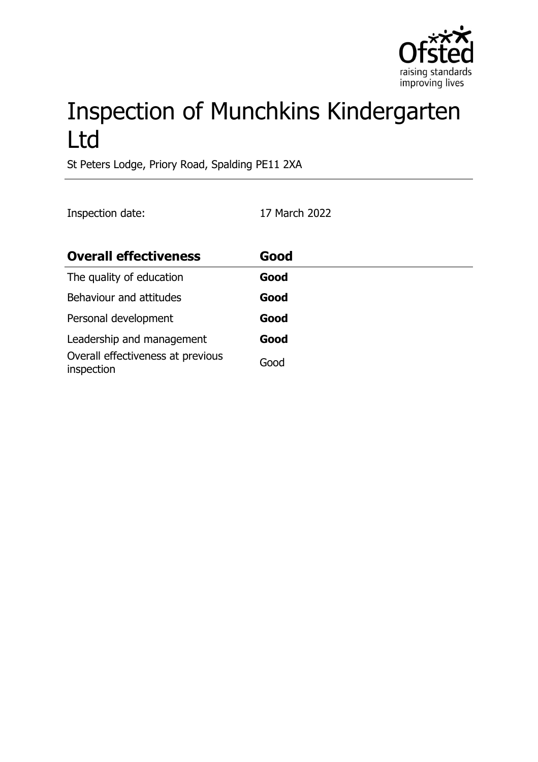

# Inspection of Munchkins Kindergarten Ltd

St Peters Lodge, Priory Road, Spalding PE11 2XA

Inspection date: 17 March 2022

| <b>Overall effectiveness</b>                    | Good |
|-------------------------------------------------|------|
| The quality of education                        | Good |
| Behaviour and attitudes                         | Good |
| Personal development                            | Good |
| Leadership and management                       | Good |
| Overall effectiveness at previous<br>inspection | Good |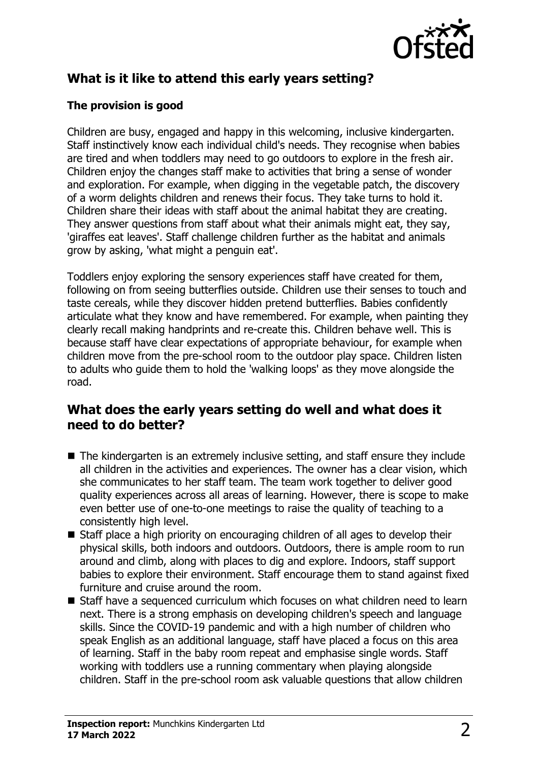

# **What is it like to attend this early years setting?**

#### **The provision is good**

Children are busy, engaged and happy in this welcoming, inclusive kindergarten. Staff instinctively know each individual child's needs. They recognise when babies are tired and when toddlers may need to go outdoors to explore in the fresh air. Children enjoy the changes staff make to activities that bring a sense of wonder and exploration. For example, when digging in the vegetable patch, the discovery of a worm delights children and renews their focus. They take turns to hold it. Children share their ideas with staff about the animal habitat they are creating. They answer questions from staff about what their animals might eat, they say, 'giraffes eat leaves'. Staff challenge children further as the habitat and animals grow by asking, 'what might a penguin eat'.

Toddlers enjoy exploring the sensory experiences staff have created for them, following on from seeing butterflies outside. Children use their senses to touch and taste cereals, while they discover hidden pretend butterflies. Babies confidently articulate what they know and have remembered. For example, when painting they clearly recall making handprints and re-create this. Children behave well. This is because staff have clear expectations of appropriate behaviour, for example when children move from the pre-school room to the outdoor play space. Children listen to adults who guide them to hold the 'walking loops' as they move alongside the road.

## **What does the early years setting do well and what does it need to do better?**

- $\blacksquare$  The kindergarten is an extremely inclusive setting, and staff ensure they include all children in the activities and experiences. The owner has a clear vision, which she communicates to her staff team. The team work together to deliver good quality experiences across all areas of learning. However, there is scope to make even better use of one-to-one meetings to raise the quality of teaching to a consistently high level.
- $\blacksquare$  Staff place a high priority on encouraging children of all ages to develop their physical skills, both indoors and outdoors. Outdoors, there is ample room to run around and climb, along with places to dig and explore. Indoors, staff support babies to explore their environment. Staff encourage them to stand against fixed furniture and cruise around the room.
- $\blacksquare$  Staff have a sequenced curriculum which focuses on what children need to learn next. There is a strong emphasis on developing children's speech and language skills. Since the COVID-19 pandemic and with a high number of children who speak English as an additional language, staff have placed a focus on this area of learning. Staff in the baby room repeat and emphasise single words. Staff working with toddlers use a running commentary when playing alongside children. Staff in the pre-school room ask valuable questions that allow children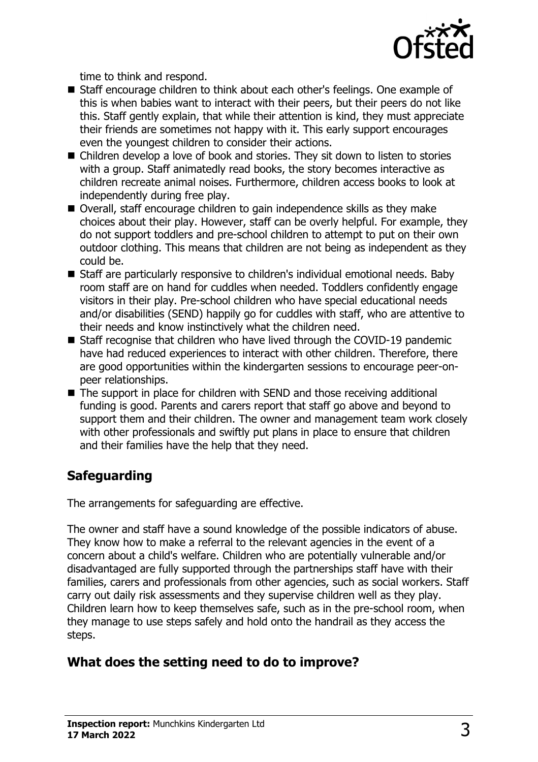

time to think and respond.

- Staff encourage children to think about each other's feelings. One example of this is when babies want to interact with their peers, but their peers do not like this. Staff gently explain, that while their attention is kind, they must appreciate their friends are sometimes not happy with it. This early support encourages even the youngest children to consider their actions.
- $\blacksquare$  Children develop a love of book and stories. They sit down to listen to stories with a group. Staff animatedly read books, the story becomes interactive as children recreate animal noises. Furthermore, children access books to look at independently during free play.
- Overall, staff encourage children to gain independence skills as they make choices about their play. However, staff can be overly helpful. For example, they do not support toddlers and pre-school children to attempt to put on their own outdoor clothing. This means that children are not being as independent as they could be.
- Staff are particularly responsive to children's individual emotional needs. Baby room staff are on hand for cuddles when needed. Toddlers confidently engage visitors in their play. Pre-school children who have special educational needs and/or disabilities (SEND) happily go for cuddles with staff, who are attentive to their needs and know instinctively what the children need.
- $\blacksquare$  Staff recognise that children who have lived through the COVID-19 pandemic have had reduced experiences to interact with other children. Therefore, there are good opportunities within the kindergarten sessions to encourage peer-onpeer relationships.
- $\blacksquare$  The support in place for children with SEND and those receiving additional funding is good. Parents and carers report that staff go above and beyond to support them and their children. The owner and management team work closely with other professionals and swiftly put plans in place to ensure that children and their families have the help that they need.

# **Safeguarding**

The arrangements for safeguarding are effective.

The owner and staff have a sound knowledge of the possible indicators of abuse. They know how to make a referral to the relevant agencies in the event of a concern about a child's welfare. Children who are potentially vulnerable and/or disadvantaged are fully supported through the partnerships staff have with their families, carers and professionals from other agencies, such as social workers. Staff carry out daily risk assessments and they supervise children well as they play. Children learn how to keep themselves safe, such as in the pre-school room, when they manage to use steps safely and hold onto the handrail as they access the steps.

# **What does the setting need to do to improve?**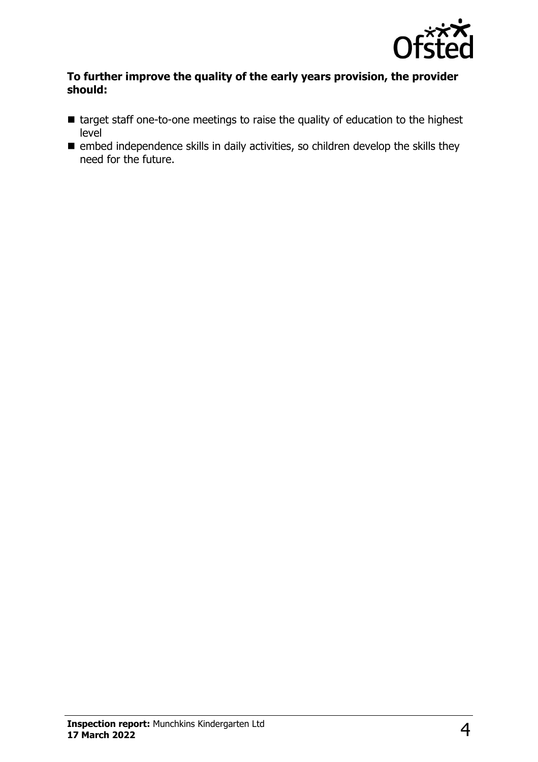

#### **To further improve the quality of the early years provision, the provider should:**

- target staff one-to-one meetings to raise the quality of education to the highest level
- $\blacksquare$  embed independence skills in daily activities, so children develop the skills they need for the future.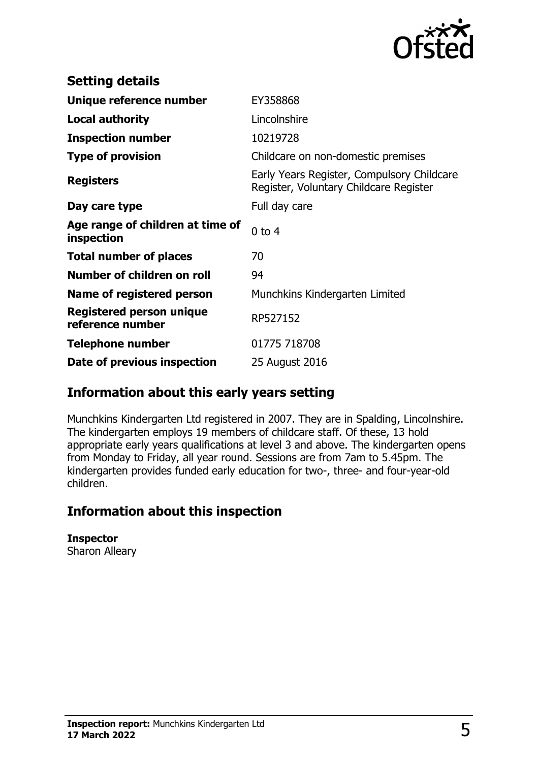

| <b>Setting details</b>                              |                                                                                      |
|-----------------------------------------------------|--------------------------------------------------------------------------------------|
| Unique reference number                             | EY358868                                                                             |
| <b>Local authority</b>                              | Lincolnshire                                                                         |
| <b>Inspection number</b>                            | 10219728                                                                             |
| <b>Type of provision</b>                            | Childcare on non-domestic premises                                                   |
| <b>Registers</b>                                    | Early Years Register, Compulsory Childcare<br>Register, Voluntary Childcare Register |
| Day care type                                       | Full day care                                                                        |
| Age range of children at time of<br>inspection      | $0$ to 4                                                                             |
| <b>Total number of places</b>                       | 70                                                                                   |
| Number of children on roll                          | 94                                                                                   |
| Name of registered person                           | Munchkins Kindergarten Limited                                                       |
| <b>Registered person unique</b><br>reference number | RP527152                                                                             |
| <b>Telephone number</b>                             | 01775 718708                                                                         |
| Date of previous inspection                         | 25 August 2016                                                                       |

## **Information about this early years setting**

Munchkins Kindergarten Ltd registered in 2007. They are in Spalding, Lincolnshire. The kindergarten employs 19 members of childcare staff. Of these, 13 hold appropriate early years qualifications at level 3 and above. The kindergarten opens from Monday to Friday, all year round. Sessions are from 7am to 5.45pm. The kindergarten provides funded early education for two-, three- and four-year-old children.

## **Information about this inspection**

**Inspector** Sharon Alleary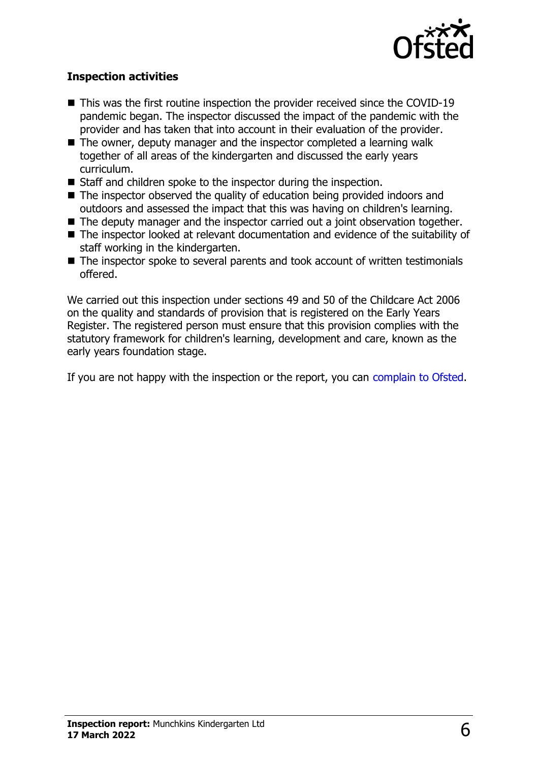

#### **Inspection activities**

- $\blacksquare$  This was the first routine inspection the provider received since the COVID-19 pandemic began. The inspector discussed the impact of the pandemic with the provider and has taken that into account in their evaluation of the provider.
- $\blacksquare$  The owner, deputy manager and the inspector completed a learning walk together of all areas of the kindergarten and discussed the early years curriculum.
- $\blacksquare$  Staff and children spoke to the inspector during the inspection.
- $\blacksquare$  The inspector observed the quality of education being provided indoors and outdoors and assessed the impact that this was having on children's learning.
- $\blacksquare$  The deputy manager and the inspector carried out a joint observation together.
- The inspector looked at relevant documentation and evidence of the suitability of staff working in the kindergarten.
- $\blacksquare$  The inspector spoke to several parents and took account of written testimonials offered.

We carried out this inspection under sections 49 and 50 of the Childcare Act 2006 on the quality and standards of provision that is registered on the Early Years Register. The registered person must ensure that this provision complies with the statutory framework for children's learning, development and care, known as the early years foundation stage.

If you are not happy with the inspection or the report, you can [complain to Ofsted](http://www.gov.uk/complain-ofsted-report).